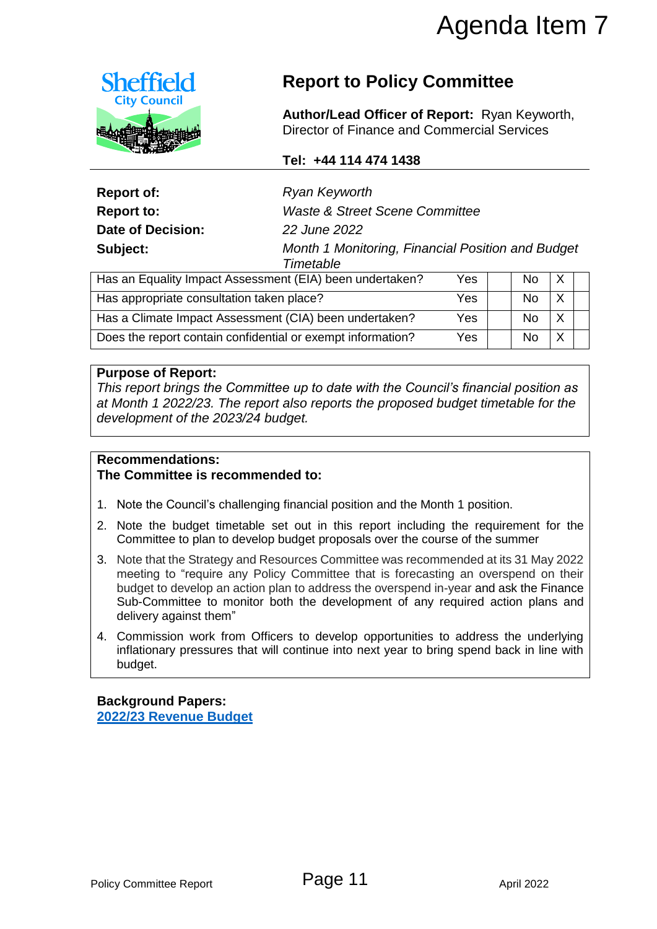

# **Report to Policy Committee**

## **Tel: +44 114 474 1438**

|                                                             |                                                                                                                                                                                                                                                                                                                                                       | Agenda Item 7 |            |   |  |
|-------------------------------------------------------------|-------------------------------------------------------------------------------------------------------------------------------------------------------------------------------------------------------------------------------------------------------------------------------------------------------------------------------------------------------|---------------|------------|---|--|
| <b>Sheffield</b><br><b>City Council</b>                     | <b>Report to Policy Committee</b>                                                                                                                                                                                                                                                                                                                     |               |            |   |  |
|                                                             | Author/Lead Officer of Report: Ryan Keyworth,<br>Director of Finance and Commercial Services                                                                                                                                                                                                                                                          |               |            |   |  |
|                                                             | Tel: +44 114 474 1438                                                                                                                                                                                                                                                                                                                                 |               |            |   |  |
| <b>Report of:</b>                                           | <b>Ryan Keyworth</b>                                                                                                                                                                                                                                                                                                                                  |               |            |   |  |
| <b>Report to:</b>                                           | <b>Waste &amp; Street Scene Committee</b>                                                                                                                                                                                                                                                                                                             |               |            |   |  |
| <b>Date of Decision:</b>                                    | 22 June 2022                                                                                                                                                                                                                                                                                                                                          |               |            |   |  |
| Subject:                                                    | Month 1 Monitoring, Financial Position and Budget<br>Timetable                                                                                                                                                                                                                                                                                        |               |            |   |  |
|                                                             | Has an Equality Impact Assessment (EIA) been undertaken?                                                                                                                                                                                                                                                                                              | Yes           | <b>No</b>  | X |  |
| Has appropriate consultation taken place?                   |                                                                                                                                                                                                                                                                                                                                                       | Yes           | <b>No</b>  | X |  |
|                                                             | Has a Climate Impact Assessment (CIA) been undertaken?                                                                                                                                                                                                                                                                                                | Yes           | <b>No</b>  | X |  |
|                                                             | Does the report contain confidential or exempt information?                                                                                                                                                                                                                                                                                           | Yes           | <b>No</b>  | X |  |
| <b>Recommendations:</b><br>The Committee is recommended to: |                                                                                                                                                                                                                                                                                                                                                       |               |            |   |  |
|                                                             | 1. Note the Council's challenging financial position and the Month 1 position.                                                                                                                                                                                                                                                                        |               |            |   |  |
|                                                             | 2. Note the budget timetable set out in this report including the requirement for the<br>Committee to plan to develop budget proposals over the course of the summer                                                                                                                                                                                  |               |            |   |  |
| delivery against them"                                      | 3. Note that the Strategy and Resources Committee was recommended at its 31 May 2022<br>meeting to "require any Policy Committee that is forecasting an overspend on their<br>budget to develop an action plan to address the overspend in-year and ask the Finance<br>Sub-Committee to monitor both the development of any required action plans and |               |            |   |  |
| budget.                                                     | 4. Commission work from Officers to develop opportunities to address the underlying<br>inflationary pressures that will continue into next year to bring spend back in line with                                                                                                                                                                      |               |            |   |  |
| <b>Background Papers:</b><br>2022/23 Revenue Budget         |                                                                                                                                                                                                                                                                                                                                                       |               |            |   |  |
| Policy Committee Report                                     | Page 11                                                                                                                                                                                                                                                                                                                                               |               | April 2022 |   |  |

| Has an Equality Impact Assessment (EIA) been undertaken?    | Yes | No. | $\times$ |  |
|-------------------------------------------------------------|-----|-----|----------|--|
| Has appropriate consultation taken place?                   | Yes | No. |          |  |
| Has a Climate Impact Assessment (CIA) been undertaken?      | Yes | No. | Χ        |  |
| Does the report contain confidential or exempt information? | Yes | No  |          |  |

#### **Purpose of Report:**

## **Recommendations:**

#### **The Committee is recommended to:**

- 1. Note the Council's challenging financial position and the Month 1 position.
- 2. Note the budget timetable set out in this report including the requirement for the Committee to plan to develop budget proposals over the course of the summer
- 3. Note that the Strategy and Resources Committee was recommended at its 31 May 2022 meeting to "require any Policy Committee that is forecasting an overspend on their budget to develop an action plan to address the overspend in-year and ask the Finance Sub-Committee to monitor both the development of any required action plans and delivery against them"
- 4. Commission work from Officers to develop opportunities to address the underlying inflationary pressures that will continue into next year to bring spend back in line with budget.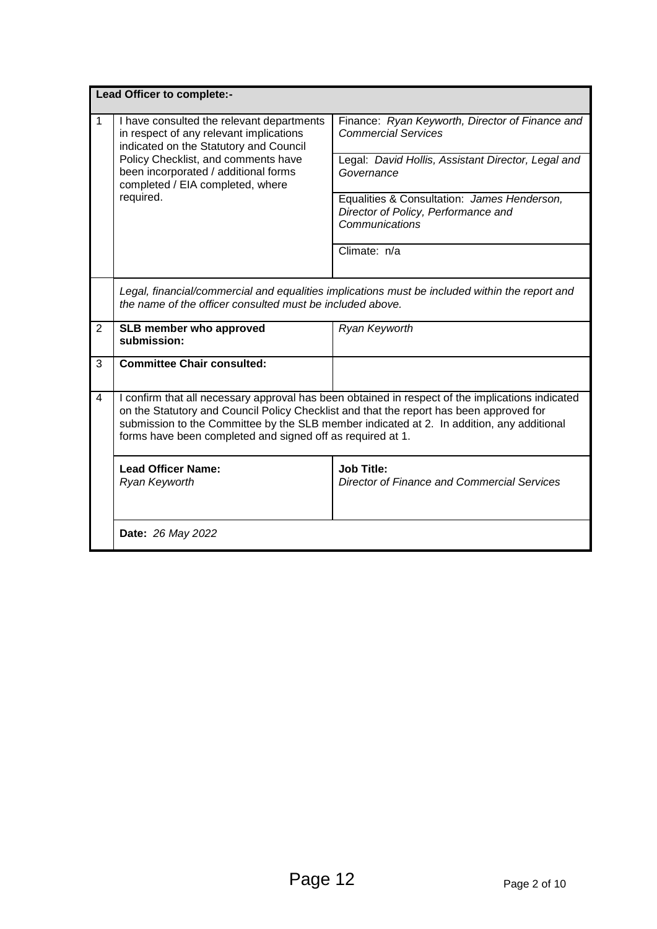|                | Lead Officer to complete:-                                                                                                                                                                                                                                                                                                                             |                                                                                                                                                                                                                                                                           |  |  |  |  |
|----------------|--------------------------------------------------------------------------------------------------------------------------------------------------------------------------------------------------------------------------------------------------------------------------------------------------------------------------------------------------------|---------------------------------------------------------------------------------------------------------------------------------------------------------------------------------------------------------------------------------------------------------------------------|--|--|--|--|
| $\mathbf{1}$   | I have consulted the relevant departments<br>in respect of any relevant implications<br>indicated on the Statutory and Council<br>Policy Checklist, and comments have<br>been incorporated / additional forms<br>completed / EIA completed, where<br>required.                                                                                         | Finance: Ryan Keyworth, Director of Finance and<br><b>Commercial Services</b><br>Legal: David Hollis, Assistant Director, Legal and<br>Governance<br>Equalities & Consultation: James Henderson,<br>Director of Policy, Performance and<br>Communications<br>Climate: n/a |  |  |  |  |
|                |                                                                                                                                                                                                                                                                                                                                                        |                                                                                                                                                                                                                                                                           |  |  |  |  |
|                | the name of the officer consulted must be included above.                                                                                                                                                                                                                                                                                              | Legal, financial/commercial and equalities implications must be included within the report and                                                                                                                                                                            |  |  |  |  |
| 2              | <b>SLB member who approved</b><br>submission:                                                                                                                                                                                                                                                                                                          | Ryan Keyworth                                                                                                                                                                                                                                                             |  |  |  |  |
| 3              | <b>Committee Chair consulted:</b>                                                                                                                                                                                                                                                                                                                      |                                                                                                                                                                                                                                                                           |  |  |  |  |
| $\overline{4}$ | I confirm that all necessary approval has been obtained in respect of the implications indicated<br>on the Statutory and Council Policy Checklist and that the report has been approved for<br>submission to the Committee by the SLB member indicated at 2. In addition, any additional<br>forms have been completed and signed off as required at 1. |                                                                                                                                                                                                                                                                           |  |  |  |  |
|                | <b>Lead Officer Name:</b><br>Ryan Keyworth                                                                                                                                                                                                                                                                                                             | <b>Job Title:</b><br><b>Director of Finance and Commercial Services</b>                                                                                                                                                                                                   |  |  |  |  |
|                | Date: 26 May 2022                                                                                                                                                                                                                                                                                                                                      |                                                                                                                                                                                                                                                                           |  |  |  |  |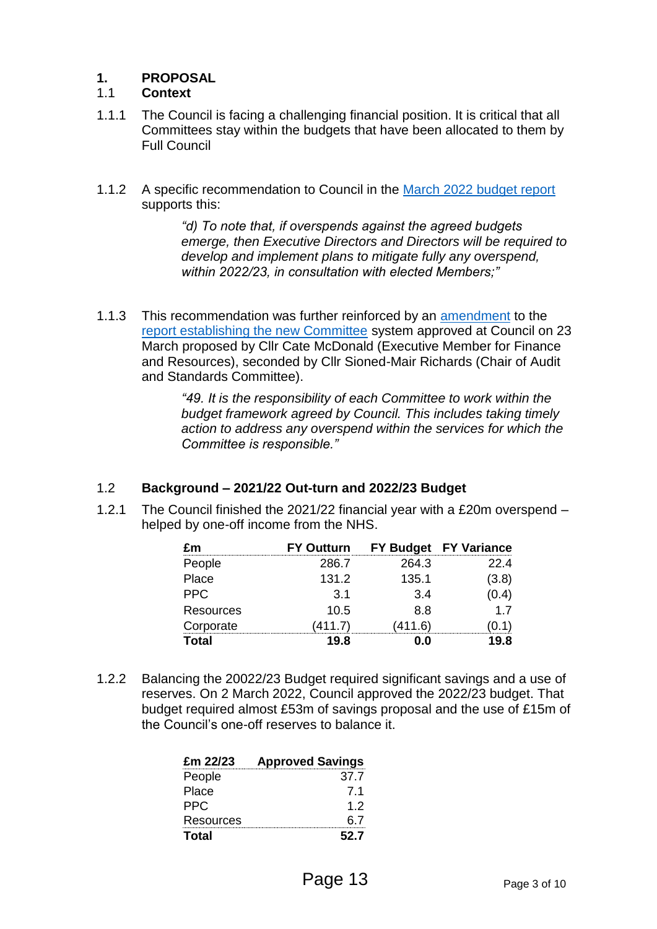## **1. PROPOSAL**

## 1.1 **Context**

- 1.1.1 The Council is facing a challenging financial position. It is critical that all Committees stay within the budgets that have been allocated to them by Full Council
- 1.1.2 A specific recommendation to Council in the [March 2022 budget report](https://democracy.sheffield.gov.uk/documents/g7894/Public%20reports%20pack%20Wednesday%2002-Mar-2022%2014.00%20Council.pdf?T=10) supports this:

*"d) To note that, if overspends against the agreed budgets emerge, then Executive Directors and Directors will be required to develop and implement plans to mitigate fully any overspend, within 2022/23, in consultation with elected Members;"*

1.1.3 This recommendation was further reinforced by an [amendment](https://democracy.sheffield.gov.uk/documents/b25226/Motion%20and%20Amendments%20Wednesday%2023-Mar-2022%2014.00%20Council.pdf?T=9) to the [report establishing the new Committee](https://democracy.sheffield.gov.uk/documents/s50859/Governance%20Committee%20Report%202022-03-09%20as%20amended.pdf) system approved at Council on 23 March proposed by Cllr Cate McDonald (Executive Member for Finance and Resources), seconded by Cllr Sioned-Mair Richards (Chair of Audit and Standards Committee).

> *"49. It is the responsibility of each Committee to work within the budget framework agreed by Council. This includes taking timely action to address any overspend within the services for which the Committee is responsible."*

## 1.2 **Background – 2021/22 Out-turn and 2022/23 Budget**

1.2.1 The Council finished the 2021/22 financial year with a £20m overspend – helped by one-off income from the NHS.

| Fm        | <b>FY Outturn</b> |        | FY Budget FY Variance |
|-----------|-------------------|--------|-----------------------|
| People    | 286.7             | 264.3  | 22.4                  |
| Place     | 131.2             | 135.1  | (3.8)                 |
| PPC.      | 3.1               | 3.4    | (0.4)                 |
| Resources | 10.5              | 8.8    | 17                    |
| Corporate | (411.7)           | 411.6) |                       |
| Total     | 19.8              | ח ח    | 9 R                   |

1.2.2 Balancing the 20022/23 Budget required significant savings and a use of reserves. On 2 March 2022, Council approved the 2022/23 budget. That budget required almost £53m of savings proposal and the use of £15m of the Council's one-off reserves to balance it.

| £m 22/23     | <b>Approved Savings</b> |
|--------------|-------------------------|
| People       | 37.7                    |
| Place        | 7.1                     |
| PPC.         | 12                      |
| Resources    | 6.7                     |
| <b>Total</b> | 52.7                    |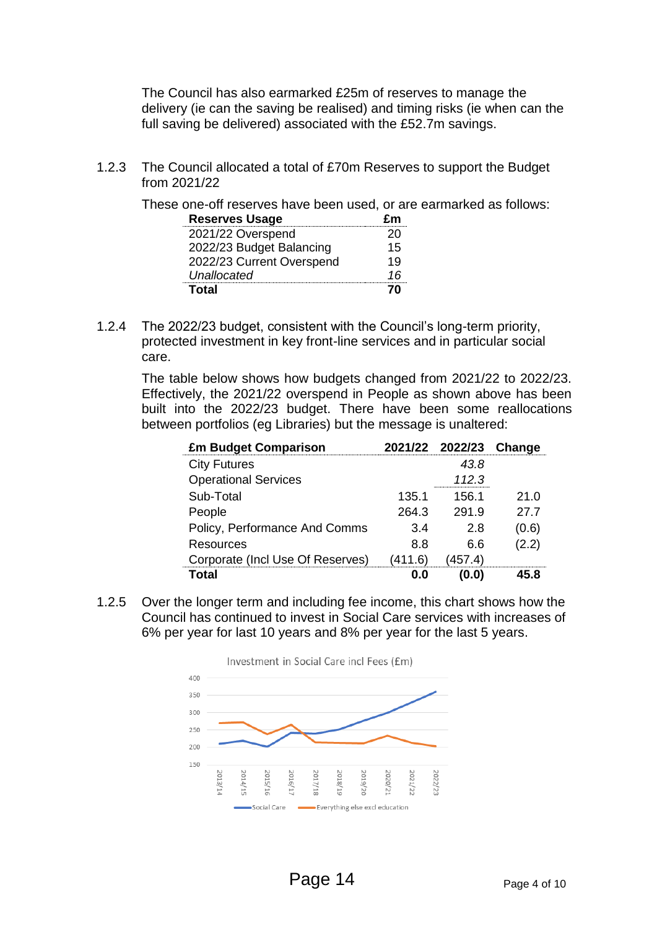The Council has also earmarked £25m of reserves to manage the delivery (ie can the saving be realised) and timing risks (ie when can the full saving be delivered) associated with the £52.7m savings.

1.2.3 The Council allocated a total of £70m Reserves to support the Budget from 2021/22

These one-off reserves have been used, or are earmarked as follows:

| <b>Reserves Usage</b>     | £m |
|---------------------------|----|
| 2021/22 Overspend         | 20 |
| 2022/23 Budget Balancing  | 15 |
| 2022/23 Current Overspend | 19 |
| Unallocated               | 16 |
| Total                     | 70 |

1.2.4 The 2022/23 budget, consistent with the Council's long-term priority, protected investment in key front-line services and in particular social care.

The table below shows how budgets changed from 2021/22 to 2022/23. Effectively, the 2021/22 overspend in People as shown above has been built into the 2022/23 budget. There have been some reallocations between portfolios (eg Libraries) but the message is unaltered:

| <b>£m Budget Comparison</b>      |         | 2021/22 2022/23 | Change |
|----------------------------------|---------|-----------------|--------|
| <b>City Futures</b>              |         | 43.8            |        |
| <b>Operational Services</b>      |         | 112.3           |        |
| Sub-Total                        | 135.1   | 156.1           | 21.0   |
| People                           | 264.3   | 291.9           | 27.7   |
| Policy, Performance And Comms    | 3.4     | 2.8             | (0.6)  |
| Resources                        | 8.8     | 6.6             | (2.2)  |
| Corporate (Incl Use Of Reserves) | (411.6) | (457.4)         |        |
| rntal                            | n n     |                 |        |

1.2.5 Over the longer term and including fee income, this chart shows how the Council has continued to invest in Social Care services with increases of 6% per year for last 10 years and 8% per year for the last 5 years.

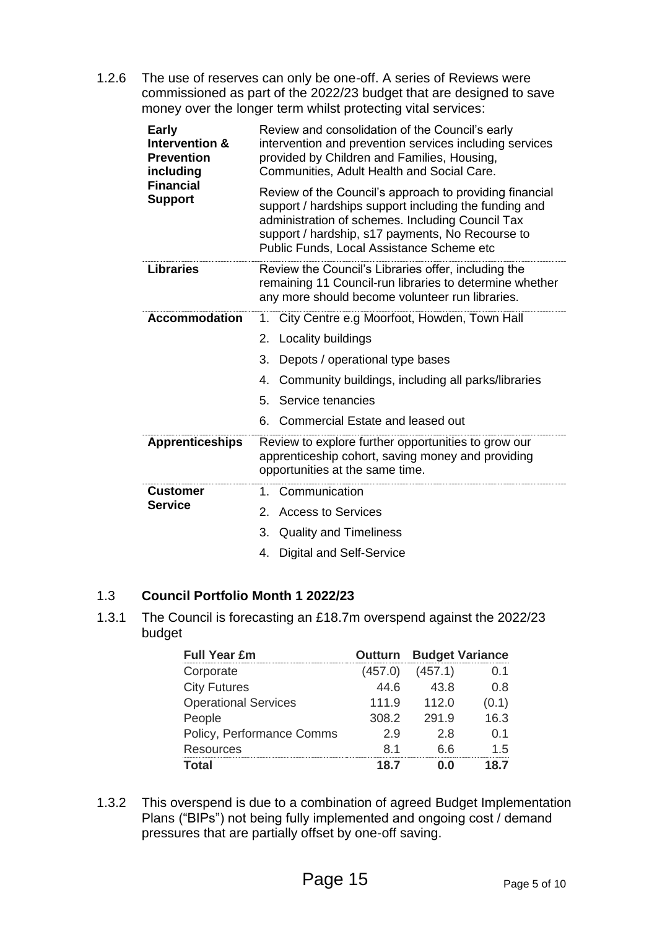1.2.6 The use of reserves can only be one-off. A series of Reviews were commissioned as part of the 2022/23 budget that are designed to save money over the longer term whilst protecting vital services:

| <b>Early</b><br><b>Intervention &amp;</b><br><b>Prevention</b><br>including<br><b>Financial</b><br><b>Support</b> | Review and consolidation of the Council's early<br>intervention and prevention services including services<br>provided by Children and Families, Housing,<br>Communities, Adult Health and Social Care.                                                               |  |  |
|-------------------------------------------------------------------------------------------------------------------|-----------------------------------------------------------------------------------------------------------------------------------------------------------------------------------------------------------------------------------------------------------------------|--|--|
|                                                                                                                   | Review of the Council's approach to providing financial<br>support / hardships support including the funding and<br>administration of schemes. Including Council Tax<br>support / hardship, s17 payments, No Recourse to<br>Public Funds, Local Assistance Scheme etc |  |  |
| <b>Libraries</b>                                                                                                  | Review the Council's Libraries offer, including the<br>remaining 11 Council-run libraries to determine whether<br>any more should become volunteer run libraries.                                                                                                     |  |  |
| <b>Accommodation</b>                                                                                              | City Centre e.g Moorfoot, Howden, Town Hall<br>1.                                                                                                                                                                                                                     |  |  |
|                                                                                                                   | 2.<br>Locality buildings                                                                                                                                                                                                                                              |  |  |
|                                                                                                                   | 3.<br>Depots / operational type bases                                                                                                                                                                                                                                 |  |  |
|                                                                                                                   | Community buildings, including all parks/libraries<br>4.                                                                                                                                                                                                              |  |  |
|                                                                                                                   | Service tenancies<br>5.                                                                                                                                                                                                                                               |  |  |
|                                                                                                                   | Commercial Estate and leased out<br>6.                                                                                                                                                                                                                                |  |  |
| <b>Apprenticeships</b>                                                                                            | Review to explore further opportunities to grow our<br>apprenticeship cohort, saving money and providing<br>opportunities at the same time.                                                                                                                           |  |  |
| <b>Customer</b>                                                                                                   | Communication<br>1.                                                                                                                                                                                                                                                   |  |  |
| <b>Service</b>                                                                                                    | <b>Access to Services</b><br>2.                                                                                                                                                                                                                                       |  |  |
|                                                                                                                   | 3.<br><b>Quality and Timeliness</b>                                                                                                                                                                                                                                   |  |  |
|                                                                                                                   | <b>Digital and Self-Service</b><br>4.                                                                                                                                                                                                                                 |  |  |

## 1.3 **Council Portfolio Month 1 2022/23**

1.3.1 The Council is forecasting an £18.7m overspend against the 2022/23 budget

| <b>Full Year £m</b>         |         | <b>Outturn Budget Variance</b> |       |
|-----------------------------|---------|--------------------------------|-------|
| Corporate                   | (457.0) | (457.1)                        | 0.1   |
| <b>City Futures</b>         | 44 6    | 43.8                           | 0.8   |
| <b>Operational Services</b> | 111.9   | 112.0                          | (0.1) |
| People                      | 308.2   | 291.9                          | 16.3  |
| Policy, Performance Comms   | 29      | 2.8                            | 0.1   |
| <b>Resources</b>            | 81      | 6 6                            | 15    |
| Total                       | 187     |                                | 87    |

1.3.2 This overspend is due to a combination of agreed Budget Implementation Plans ("BIPs") not being fully implemented and ongoing cost / demand pressures that are partially offset by one-off saving.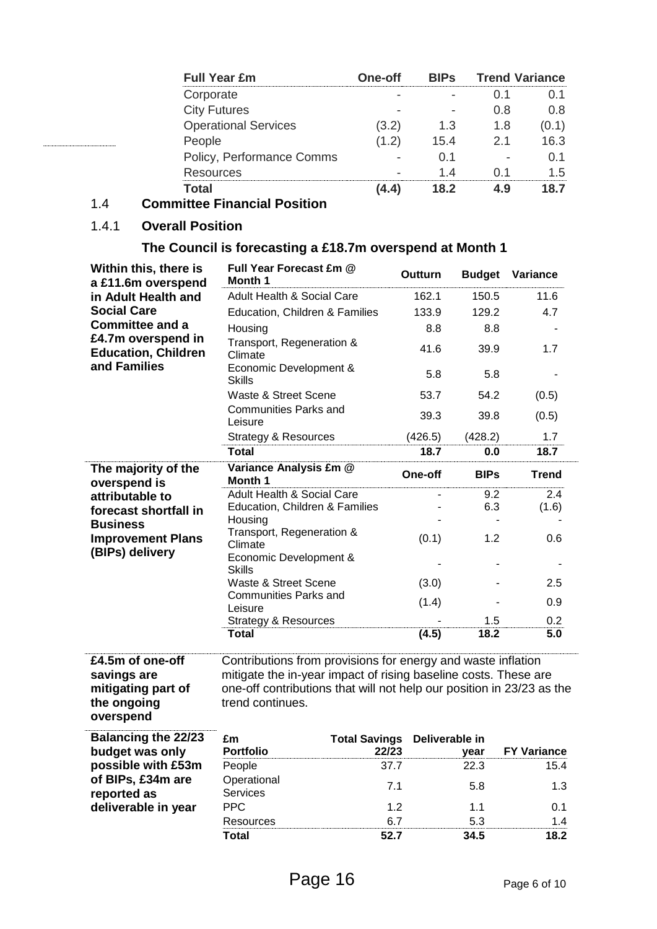| <b>Full Year £m</b>         | One-off | <b>BIPS</b> | <b>Trend Variance</b> |               |
|-----------------------------|---------|-------------|-----------------------|---------------|
| Corporate                   |         |             |                       |               |
| <b>City Futures</b>         |         |             | 11 X                  | א ו           |
| <b>Operational Services</b> |         | 1.3         | 1.8                   |               |
| People                      |         | 154         | 21                    | 63            |
| Policy, Performance Comms   |         |             |                       |               |
| Resources                   |         |             |                       | $\mathcal{L}$ |
|                             |         |             |                       |               |

## 1.4 **Committee Financial Position**

## 1.4.1 **Overall Position**

## **The Council is forecasting a £18.7m overspend at Month 1**

| Within this, there is<br>a £11.6m overspend                                                      | Full Year Forecast £m @<br>Month 1                                                                                                                                                                                           | Outturn        | <b>Budget</b> | Variance           |
|--------------------------------------------------------------------------------------------------|------------------------------------------------------------------------------------------------------------------------------------------------------------------------------------------------------------------------------|----------------|---------------|--------------------|
| in Adult Health and                                                                              | Adult Health & Social Care                                                                                                                                                                                                   | 162.1          | 150.5         | 11.6               |
| <b>Social Care</b>                                                                               | Education, Children & Families                                                                                                                                                                                               | 133.9          | 129.2         | 4.7                |
| <b>Committee and a</b>                                                                           | Housing                                                                                                                                                                                                                      | 8.8            | 8.8           |                    |
| £4.7m overspend in<br><b>Education, Children</b><br>and Families                                 | Transport, Regeneration &<br>Climate                                                                                                                                                                                         | 41.6           | 39.9          | 1.7                |
|                                                                                                  | Economic Development &<br><b>Skills</b>                                                                                                                                                                                      | 5.8            | 5.8           |                    |
|                                                                                                  | Waste & Street Scene                                                                                                                                                                                                         | 53.7           | 54.2          | (0.5)              |
|                                                                                                  | <b>Communities Parks and</b><br>Leisure                                                                                                                                                                                      | 39.3           | 39.8          | (0.5)              |
|                                                                                                  | <b>Strategy &amp; Resources</b>                                                                                                                                                                                              | (426.5)        | (428.2)       | 1.7                |
|                                                                                                  | <b>Total</b>                                                                                                                                                                                                                 | 18.7           | 0.0           | 18.7               |
| The majority of the<br>overspend is                                                              | Variance Analysis £m @<br>Month 1                                                                                                                                                                                            | One-off        | <b>BIPs</b>   | <b>Trend</b>       |
| attributable to                                                                                  | Adult Health & Social Care                                                                                                                                                                                                   |                | 9.2           | 2.4                |
| forecast shortfall in<br><b>Business</b><br><b>Improvement Plans</b><br>(BIPs) delivery          | Education, Children & Families<br>Housing                                                                                                                                                                                    |                | 6.3           | (1.6)              |
|                                                                                                  | Transport, Regeneration &<br>Climate                                                                                                                                                                                         | (0.1)          | 1.2           | 0.6                |
|                                                                                                  | Economic Development &<br><b>Skills</b>                                                                                                                                                                                      |                |               |                    |
|                                                                                                  | Waste & Street Scene                                                                                                                                                                                                         | (3.0)          |               | 2.5                |
|                                                                                                  | <b>Communities Parks and</b><br>Leisure                                                                                                                                                                                      | (1.4)          |               | 0.9                |
|                                                                                                  | <b>Strategy &amp; Resources</b>                                                                                                                                                                                              |                | 1.5           | 0.2                |
|                                                                                                  | <b>Total</b>                                                                                                                                                                                                                 | (4.5)          | 18.2          | 5.0                |
| £4.5m of one-off<br>savings are<br>mitigating part of<br>the ongoing<br>overspend                | Contributions from provisions for energy and waste inflation<br>mitigate the in-year impact of rising baseline costs. These are<br>one-off contributions that will not help our position in 23/23 as the<br>trend continues. |                |               |                    |
| <b>Balancing the 22/23</b>                                                                       | £m<br><b>Total Savings</b>                                                                                                                                                                                                   | Deliverable in |               |                    |
| budget was only<br>possible with £53m<br>of BIPs, £34m are<br>reported as<br>deliverable in year | <b>Portfolio</b>                                                                                                                                                                                                             | 22/23          | year          | <b>FY Variance</b> |
|                                                                                                  | People                                                                                                                                                                                                                       | 37.7           | 22.3          | 15.4               |
|                                                                                                  | Operational<br>Services                                                                                                                                                                                                      | 7.1            | 5.8           | 1.3                |
|                                                                                                  | <b>PPC</b>                                                                                                                                                                                                                   | 1.2            | 1.1           | 0.1                |
|                                                                                                  | Resources                                                                                                                                                                                                                    | 6.7            | 5.3           | 1.4                |
|                                                                                                  | Total                                                                                                                                                                                                                        | 52.7           | 34.5          | 18.2               |

**Total 52.7 34.5 18.2**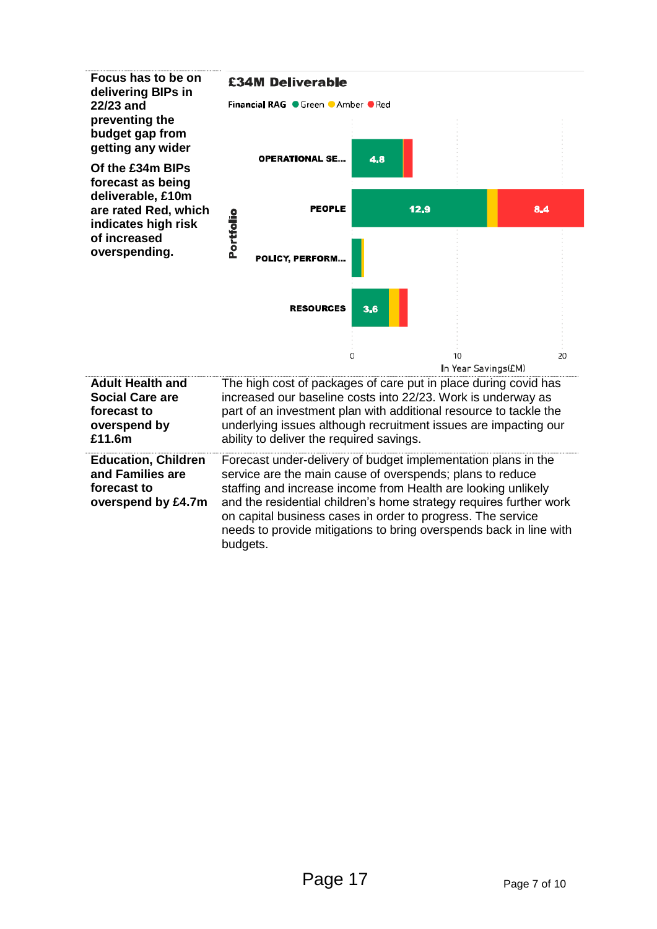

budgets.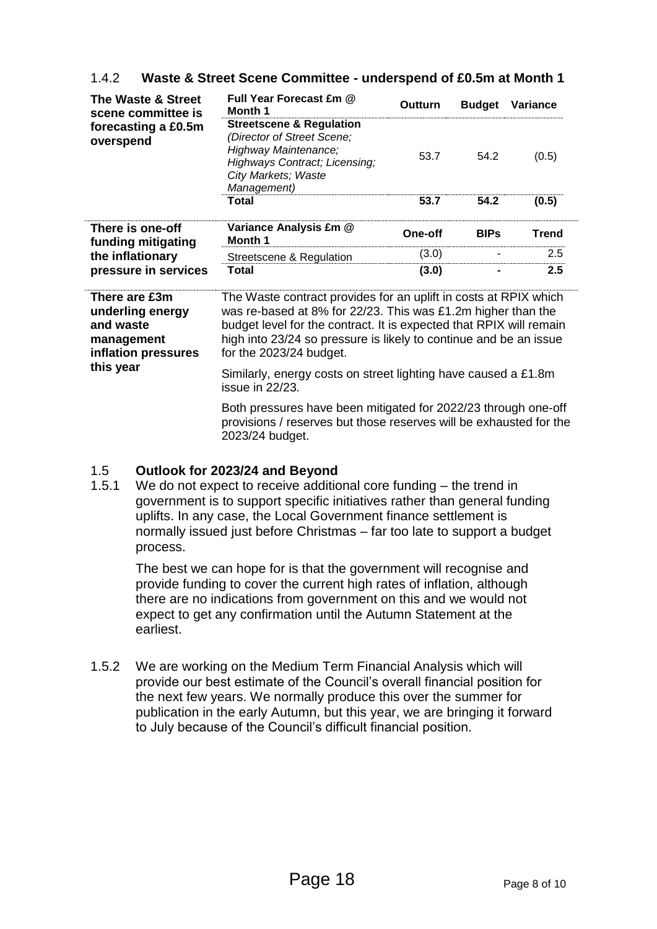| The Waste & Street<br>scene committee is | Full Year Forecast £m @<br>Month 1                                                                                                                                      | Outturn | <b>Budget</b> | <b>Variance</b> |
|------------------------------------------|-------------------------------------------------------------------------------------------------------------------------------------------------------------------------|---------|---------------|-----------------|
| forecasting a £0.5m<br>overspend         | <b>Streetscene &amp; Regulation</b><br>(Director of Street Scene;<br>Highway Maintenance;<br><b>Highways Contract; Licensing;</b><br>City Markets; Waste<br>Management) | 53.7    | 54.2          | (0.5)           |
|                                          | Total                                                                                                                                                                   | 53.7    | 54.2          | (0.5)           |
| There is one-off<br>funding mitigating   | Variance Analysis £m @<br><b>Month 1</b>                                                                                                                                | One-off | <b>BIPs</b>   | <b>Trend</b>    |
| the inflationary                         | Streetscene & Regulation                                                                                                                                                | (3.0)   |               | 2.5             |
| pressure in services                     | Total                                                                                                                                                                   | (3.0)   |               | $2.5\,$         |

## 1.4.2 **Waste & Street Scene Committee - underspend of £0.5m at Month 1**

| There are £3m<br>underling energy<br>and waste<br>management<br>inflation pressures<br>this year | The Waste contract provides for an uplift in costs at RPIX which<br>was re-based at 8% for 22/23. This was £1.2m higher than the<br>budget level for the contract. It is expected that RPIX will remain<br>high into 23/24 so pressure is likely to continue and be an issue<br>for the 2023/24 budget. |
|--------------------------------------------------------------------------------------------------|---------------------------------------------------------------------------------------------------------------------------------------------------------------------------------------------------------------------------------------------------------------------------------------------------------|
|                                                                                                  | Similarly, energy costs on street lighting have caused a £1.8m<br>issue in 22/23.                                                                                                                                                                                                                       |
|                                                                                                  | Both pressures have been mitigated for 2022/23 through one-off                                                                                                                                                                                                                                          |

ave been mitigated for 20 provisions / reserves but those reserves will be exhausted for the 2023/24 budget.

## 1.5 **Outlook for 2023/24 and Beyond**

1.5.1 We do not expect to receive additional core funding – the trend in government is to support specific initiatives rather than general funding uplifts. In any case, the Local Government finance settlement is normally issued just before Christmas – far too late to support a budget process.

The best we can hope for is that the government will recognise and provide funding to cover the current high rates of inflation, although there are no indications from government on this and we would not expect to get any confirmation until the Autumn Statement at the earliest.

1.5.2 We are working on the Medium Term Financial Analysis which will provide our best estimate of the Council's overall financial position for the next few years. We normally produce this over the summer for publication in the early Autumn, but this year, we are bringing it forward to July because of the Council's difficult financial position.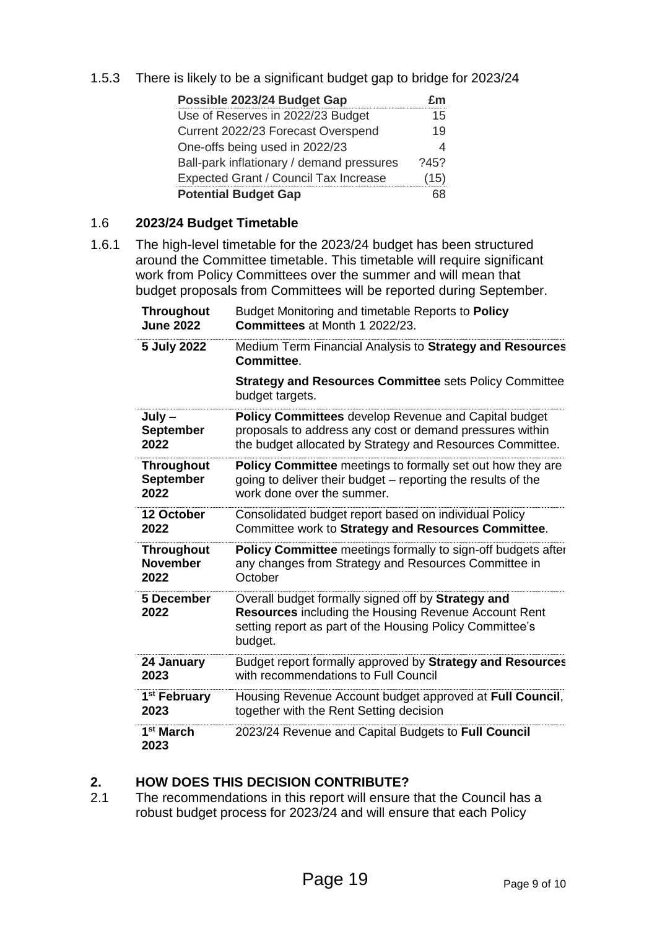1.5.3 There is likely to be a significant budget gap to bridge for 2023/24

| Possible 2023/24 Budget Gap               |      |
|-------------------------------------------|------|
| Use of Reserves in 2022/23 Budget         | 15   |
| Current 2022/23 Forecast Overspend        | 19   |
| One-offs being used in 2022/23            |      |
| Ball-park inflationary / demand pressures | 2452 |
| Expected Grant / Council Tax Increase     | (15) |
| <b>Potential Budget Gap</b>               |      |

#### 1.6 **2023/24 Budget Timetable**

1.6.1 The high-level timetable for the 2023/24 budget has been structured around the Committee timetable. This timetable will require significant work from Policy Committees over the summer and will mean that budget proposals from Committees will be reported during September.

| <b>Throughout</b>             | Budget Monitoring and timetable Reports to Policy                                                                                                                                        |
|-------------------------------|------------------------------------------------------------------------------------------------------------------------------------------------------------------------------------------|
| <b>June 2022</b>              | Committees at Month 1 2022/23.                                                                                                                                                           |
| 5 July 2022                   | Medium Term Financial Analysis to Strategy and Resources<br>Committee.                                                                                                                   |
|                               | <b>Strategy and Resources Committee sets Policy Committee</b><br>budget targets.                                                                                                         |
| July-                         | <b>Policy Committees</b> develop Revenue and Capital budget                                                                                                                              |
| <b>September</b>              | proposals to address any cost or demand pressures within                                                                                                                                 |
| 2022                          | the budget allocated by Strategy and Resources Committee.                                                                                                                                |
| <b>Throughout</b>             | Policy Committee meetings to formally set out how they are                                                                                                                               |
| <b>September</b>              | going to deliver their budget – reporting the results of the                                                                                                                             |
| 2022                          | work done over the summer.                                                                                                                                                               |
| 12 October                    | Consolidated budget report based on individual Policy                                                                                                                                    |
| 2022                          | Committee work to Strategy and Resources Committee.                                                                                                                                      |
| <b>Throughout</b>             | Policy Committee meetings formally to sign-off budgets after                                                                                                                             |
| <b>November</b>               | any changes from Strategy and Resources Committee in                                                                                                                                     |
| 2022                          | October                                                                                                                                                                                  |
| 5 December<br>2022            | Overall budget formally signed off by Strategy and<br><b>Resources</b> including the Housing Revenue Account Rent<br>setting report as part of the Housing Policy Committee's<br>budget. |
| 24 January                    | Budget report formally approved by Strategy and Resources                                                                                                                                |
| 2023                          | with recommendations to Full Council                                                                                                                                                     |
| 1 <sup>st</sup> February      | Housing Revenue Account budget approved at Full Council,                                                                                                                                 |
| 2023                          | together with the Rent Setting decision                                                                                                                                                  |
| 1 <sup>st</sup> March<br>2023 | 2023/24 Revenue and Capital Budgets to Full Council                                                                                                                                      |

#### **2. HOW DOES THIS DECISION CONTRIBUTE?**

2.1 The recommendations in this report will ensure that the Council has a robust budget process for 2023/24 and will ensure that each Policy